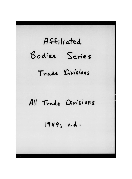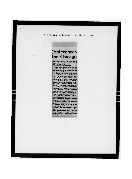From washington Teamster April 15th 1949

## **Conferences** for Chicago

group and Policy Committee meet-<br>ings will be made, is slated for 2 p.m. on April 29.<br>CONFERENCES LISTED

WINTERENCES LISTED<br>With the completion of the national trade division setup, the<br>following will have been chartered<br>and put actively to work:

National Warehouse Conference;<br>National Conference of Automo-National Conference of Automo-<br>tive, Petroleum and Allied Indus-<br>tries; National Fresh Fruit, Veg-<br>etable and Produce Conference;<br>National Drive-Away and Truck-Away Conference; National Launand Retail Delivery Conference;<br>National Dairy Employes Conference;<br>ence; National Over-The-Road ence; National Over-The-Road<br>Conference; National Bakery Con-<br>ference; National Conference of<br>Federal, State and Municipal Driv-<br>175; National Cannery Council;<br>175; National Chauffers, Taxional driv-<br>175 Conference; Nation

Construction Drivers and National<br>
Brewery Conference<br>
Already, with the organization<br>
cork harely started, several of the<br>
mational trade divisions have made<br>
hig gains in membership, and fer-<br>
ther developments are expec